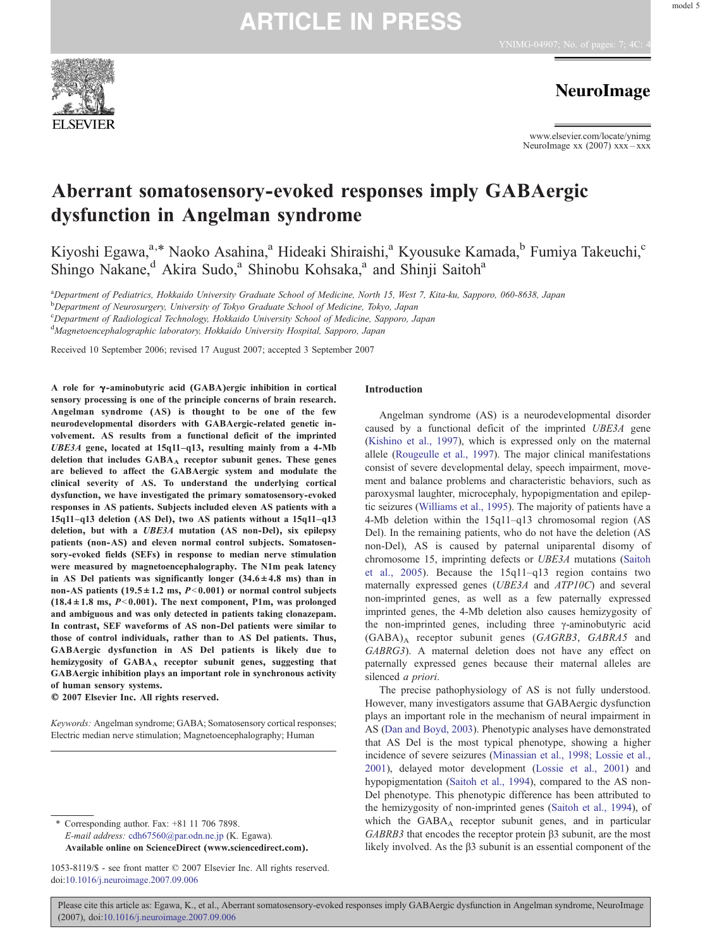

**NeuroImage** 

www.elsevier.com/locate/ynimg NeuroImage xx  $(2007)$  xxx – xxx

# Aberrant somatosensory-evoked responses imply GABAergic dysfunction in Angelman syndrome

Kiyoshi Egawa,<sup>a,\*</sup> Naoko Asahina,<sup>a</sup> Hideaki Shiraishi,<sup>a</sup> Kyousuke Kamada,<sup>b</sup> Fumiya Takeuchi,<sup>c</sup> Shingo Nakane,<sup>d</sup> Akira Sudo,<sup>a</sup> Shinobu Kohsaka,<sup>a</sup> and Shinji Saitoh<sup>a</sup>

a Department of Pediatrics, Hokkaido University Graduate School of Medicine, North 15, West 7, Kita-ku, Sapporo, 060-8638, Japan

b Department of Neurosurgery, University of Tokyo Graduate School of Medicine, Tokyo, Japan

<sup>c</sup>Department of Radiological Technology, Hokkaido University School of Medicine, Sapporo, Japan

<sup>d</sup>Magnetoencephalographic laboratory, Hokkaido University Hospital, Sapporo, Japan

Received 10 September 2006; revised 17 August 2007; accepted 3 September 2007

A role for γ-aminobutyric acid (GABA)ergic inhibition in cortical sensory processing is one of the principle concerns of brain research. Angelman syndrome (AS) is thought to be one of the few neurodevelopmental disorders with GABAergic-related genetic involvement. AS results from a functional deficit of the imprinted UBE3A gene, located at 15q11–q13, resulting mainly from a 4-Mb deletion that includes  $GABA_A$  receptor subunit genes. These genes are believed to affect the GABAergic system and modulate the clinical severity of AS. To understand the underlying cortical dysfunction, we have investigated the primary somatosensory-evoked responses in AS patients. Subjects included eleven AS patients with a 15q11–q13 deletion (AS Del), two AS patients without a 15q11–q13 deletion, but with a UBE3A mutation (AS non-Del), six epilepsy patients (non-AS) and eleven normal control subjects. Somatosensory-evoked fields (SEFs) in response to median nerve stimulation were measured by magnetoencephalography. The N1m peak latency in AS Del patients was significantly longer  $(34.6 \pm 4.8 \text{ ms})$  than in non-AS patients (19.5  $\pm$  1.2 ms, P<0.001) or normal control subjects  $(18.4 \pm 1.8 \text{ ms}, P<0.001)$ . The next component, P1m, was prolonged and ambiguous and was only detected in patients taking clonazepam. In contrast, SEF waveforms of AS non-Del patients were similar to those of control individuals, rather than to AS Del patients. Thus, GABAergic dysfunction in AS Del patients is likely due to hemizygosity of GABAA receptor subunit genes, suggesting that GABAergic inhibition plays an important role in synchronous activity of human sensory systems.

© 2007 Elsevier Inc. All rights reserved.

Keywords: Angelman syndrome; GABA; Somatosensory cortical responses; Electric median nerve stimulation; Magnetoencephalography; Human

⁎ Corresponding author. Fax: +81 11 706 7898.

E-mail address: [cdh67560@par.odn.ne.jp](mailto:cdh67560@par.odn.ne.jp) (K. Egawa). Available online on ScienceDirect (www.sciencedirect.com).

### Introduction

Angelman syndrome (AS) is a neurodevelopmental disorder caused by a functional deficit of the imprinted UBE3A gene [\(Kishino et al., 1997](#page-5-0)), which is expressed only on the maternal allele ([Rougeulle et al., 1997](#page-6-0)). The major clinical manifestations consist of severe developmental delay, speech impairment, movement and balance problems and characteristic behaviors, such as paroxysmal laughter, microcephaly, hypopigmentation and epileptic seizures ([Williams et al., 1995](#page-6-0)). The majority of patients have a 4-Mb deletion within the 15q11–q13 chromosomal region (AS Del). In the remaining patients, who do not have the deletion (AS non-Del), AS is caused by paternal uniparental disomy of chromosome 15, imprinting defects or UBE3A mutations ([Saitoh](#page-6-0) [et al., 2005\)](#page-6-0). Because the 15q11–q13 region contains two maternally expressed genes (UBE3A and ATP10C) and several non-imprinted genes, as well as a few paternally expressed imprinted genes, the 4-Mb deletion also causes hemizygosity of the non-imprinted genes, including three γ-aminobutyric acid  $(GABA)_A$  receptor subunit genes  $(GAGRB3, GABRA5)$  and GABRG3). A maternal deletion does not have any effect on paternally expressed genes because their maternal alleles are silenced a priori.

The precise pathophysiology of AS is not fully understood. However, many investigators assume that GABAergic dysfunction plays an important role in the mechanism of neural impairment in AS ([Dan and Boyd, 2003\)](#page-5-0). Phenotypic analyses have demonstrated that AS Del is the most typical phenotype, showing a higher incidence of severe seizures ([Minassian et al., 1998; Lossie et al.,](#page-6-0) [2001](#page-6-0)), delayed motor development [\(Lossie et al., 2001](#page-6-0)) and hypopigmentation [\(Saitoh et al., 1994](#page-6-0)), compared to the AS non-Del phenotype. This phenotypic difference has been attributed to the hemizygosity of non-imprinted genes [\(Saitoh et al., 1994\)](#page-6-0), of which the GABA<sub>A</sub> receptor subunit genes, and in particular GABRB3 that encodes the receptor protein β3 subunit, are the most likely involved. As the β3 subunit is an essential component of the

<sup>1053-8119/\$ -</sup> see front matter © 2007 Elsevier Inc. All rights reserved. doi:[10.1016/j.neuroimage.2007.09.006](http://dx.doi.org/10.1016/j.neuroimage.2007.09.006)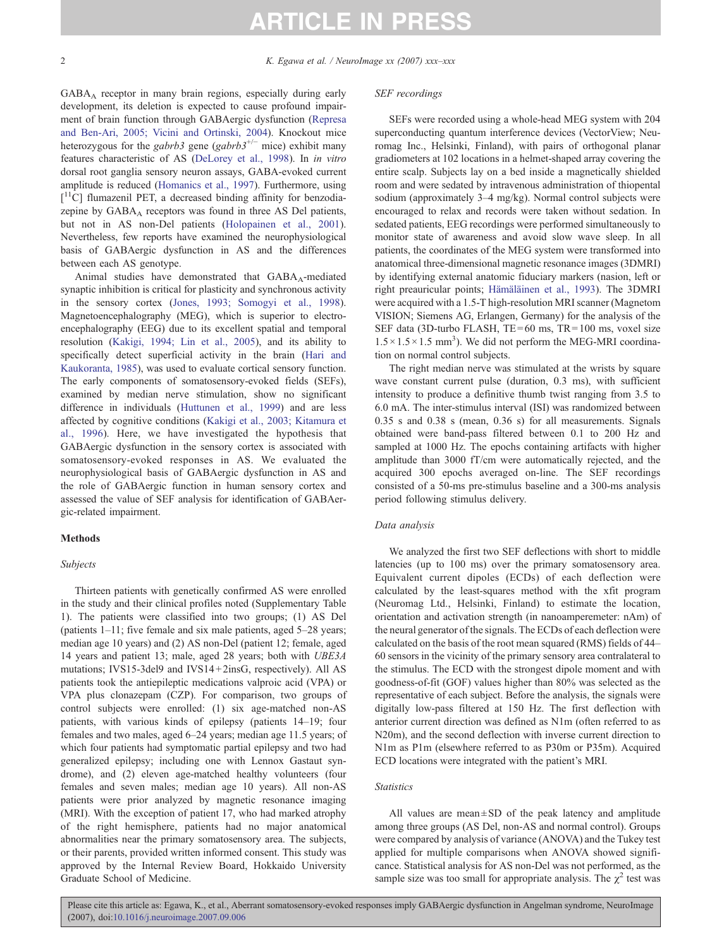2 K. Egawa et al. / NeuroImage xx (2007) xxx–xxx

GABAA receptor in many brain regions, especially during early development, its deletion is expected to cause profound impairment of brain function through GABAergic dysfunction [\(Represa](#page-6-0) [and Ben-Ari, 2005; Vicini and Ortinski, 2004\)](#page-6-0). Knockout mice heterozygous for the gabrb3 gene (gabrb3<sup>+/-</sup> mice) exhibit many features characteristic of AS [\(DeLorey et al., 1998\)](#page-5-0). In in vitro dorsal root ganglia sensory neuron assays, GABA-evoked current amplitude is reduced [\(Homanics et al., 1997\)](#page-5-0). Furthermore, using [<sup>11</sup>C] flumazenil PET, a decreased binding affinity for benzodiazepine by  $GABA_A$  receptors was found in three AS Del patients, but not in AS non-Del patients ([Holopainen et al., 2001\)](#page-5-0). Nevertheless, few reports have examined the neurophysiological basis of GABAergic dysfunction in AS and the differences between each AS genotype.

Animal studies have demonstrated that  $GABA_A$ -mediated synaptic inhibition is critical for plasticity and synchronous activity in the sensory cortex ([Jones, 1993; Somogyi et al., 1998\)](#page-5-0). Magnetoencephalography (MEG), which is superior to electroencephalography (EEG) due to its excellent spatial and temporal resolution [\(Kakigi, 1994; Lin et al., 2005\)](#page-5-0), and its ability to specifically detect superficial activity in the brain [\(Hari and](#page-5-0) [Kaukoranta, 1985\)](#page-5-0), was used to evaluate cortical sensory function. The early components of somatosensory-evoked fields (SEFs), examined by median nerve stimulation, show no significant difference in individuals [\(Huttunen et al., 1999\)](#page-5-0) and are less affected by cognitive conditions [\(Kakigi et al., 2003; Kitamura et](#page-5-0) [al., 1996](#page-5-0)). Here, we have investigated the hypothesis that GABAergic dysfunction in the sensory cortex is associated with somatosensory-evoked responses in AS. We evaluated the neurophysiological basis of GABAergic dysfunction in AS and the role of GABAergic function in human sensory cortex and assessed the value of SEF analysis for identification of GABAergic-related impairment.

# Methods

### Subjects

Thirteen patients with genetically confirmed AS were enrolled in the study and their clinical profiles noted (Supplementary Table 1). The patients were classified into two groups; (1) AS Del (patients 1–11; five female and six male patients, aged 5–28 years; median age 10 years) and (2) AS non-Del (patient 12; female, aged 14 years and patient 13; male, aged 28 years; both with UBE3A mutations; IVS15-3del9 and IVS14 + 2insG, respectively). All AS patients took the antiepileptic medications valproic acid (VPA) or VPA plus clonazepam (CZP). For comparison, two groups of control subjects were enrolled: (1) six age-matched non-AS patients, with various kinds of epilepsy (patients 14–19; four females and two males, aged 6–24 years; median age 11.5 years; of which four patients had symptomatic partial epilepsy and two had generalized epilepsy; including one with Lennox Gastaut syndrome), and (2) eleven age-matched healthy volunteers (four females and seven males; median age 10 years). All non-AS patients were prior analyzed by magnetic resonance imaging (MRI). With the exception of patient 17, who had marked atrophy of the right hemisphere, patients had no major anatomical abnormalities near the primary somatosensory area. The subjects, or their parents, provided written informed consent. This study was approved by the Internal Review Board, Hokkaido University Graduate School of Medicine.

### SEF recordings

SEFs were recorded using a whole-head MEG system with 204 superconducting quantum interference devices (VectorView; Neuromag Inc., Helsinki, Finland), with pairs of orthogonal planar gradiometers at 102 locations in a helmet-shaped array covering the entire scalp. Subjects lay on a bed inside a magnetically shielded room and were sedated by intravenous administration of thiopental sodium (approximately 3–4 mg/kg). Normal control subjects were encouraged to relax and records were taken without sedation. In sedated patients, EEG recordings were performed simultaneously to monitor state of awareness and avoid slow wave sleep. In all patients, the coordinates of the MEG system were transformed into anatomical three-dimensional magnetic resonance images (3DMRI) by identifying external anatomic fiduciary markers (nasion, left or right preauricular points; [Hämäläinen et al., 1993](#page-5-0)). The 3DMRI were acquired with a 1.5-T high-resolution MRI scanner (Magnetom VISION; Siemens AG, Erlangen, Germany) for the analysis of the SEF data (3D-turbo FLASH, TE=60 ms, TR=100 ms, voxel size  $1.5 \times 1.5 \times 1.5$  mm<sup>3</sup>). We did not perform the MEG-MRI coordination on normal control subjects.

The right median nerve was stimulated at the wrists by square wave constant current pulse (duration, 0.3 ms), with sufficient intensity to produce a definitive thumb twist ranging from 3.5 to 6.0 mA. The inter-stimulus interval (ISI) was randomized between 0.35 s and 0.38 s (mean, 0.36 s) for all measurements. Signals obtained were band-pass filtered between 0.1 to 200 Hz and sampled at 1000 Hz. The epochs containing artifacts with higher amplitude than 3000 fT/cm were automatically rejected, and the acquired 300 epochs averaged on-line. The SEF recordings consisted of a 50-ms pre-stimulus baseline and a 300-ms analysis period following stimulus delivery.

### Data analysis

We analyzed the first two SEF deflections with short to middle latencies (up to 100 ms) over the primary somatosensory area. Equivalent current dipoles (ECDs) of each deflection were calculated by the least-squares method with the xfit program (Neuromag Ltd., Helsinki, Finland) to estimate the location, orientation and activation strength (in nanoamperemeter: nAm) of the neural generator of the signals. The ECDs of each deflection were calculated on the basis of the root mean squared (RMS) fields of 44– 60 sensors in the vicinity of the primary sensory area contralateral to the stimulus. The ECD with the strongest dipole moment and with goodness-of-fit (GOF) values higher than 80% was selected as the representative of each subject. Before the analysis, the signals were digitally low-pass filtered at 150 Hz. The first deflection with anterior current direction was defined as N1m (often referred to as N20m), and the second deflection with inverse current direction to N1m as P1m (elsewhere referred to as P30m or P35m). Acquired ECD locations were integrated with the patient's MRI.

### **Statistics**

All values are mean $\pm$ SD of the peak latency and amplitude among three groups (AS Del, non-AS and normal control). Groups were compared by analysis of variance (ANOVA) and the Tukey test applied for multiple comparisons when ANOVA showed significance. Statistical analysis for AS non-Del was not performed, as the sample size was too small for appropriate analysis. The  $\chi^2$  test was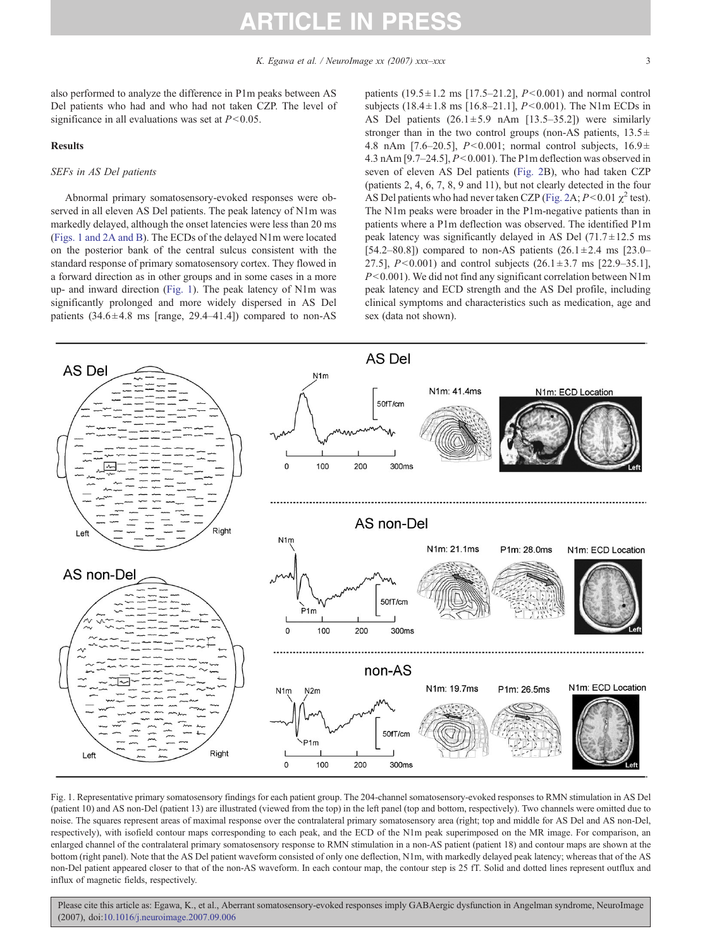<span id="page-2-0"></span>also performed to analyze the difference in P1m peaks between AS Del patients who had and who had not taken CZP. The level of significance in all evaluations was set at  $P<0.05$ .

### Results

### SEFs in AS Del patients

Abnormal primary somatosensory-evoked responses were observed in all eleven AS Del patients. The peak latency of N1m was markedly delayed, although the onset latencies were less than 20 ms (Figs. 1 and 2A and B). The ECDs of the delayed N1m were located on the posterior bank of the central sulcus consistent with the standard response of primary somatosensory cortex. They flowed in a forward direction as in other groups and in some cases in a more up- and inward direction (Fig. 1). The peak latency of N1m was significantly prolonged and more widely dispersed in AS Del patients  $(34.6 \pm 4.8 \text{ ms}$  [range, 29.4–41.4]) compared to non-AS patients  $(19.5 \pm 1.2 \text{ ms } [17.5 - 21.2], P < 0.001)$  and normal control subjects  $(18.4 \pm 1.8 \text{ ms } [16.8-21.1], P<0.001)$ . The N1m ECDs in AS Del patients  $(26.1 \pm 5.9 \text{ nAm } [13.5-35.2])$  were similarly stronger than in the two control groups (non-AS patients,  $13.5 \pm$ 4.8 nAm [7.6–20.5],  $P<0.001$ ; normal control subjects,  $16.9 \pm$ 4.3 nAm [9.7–24.5],  $P<0.001$ ). The P1m deflection was observed in seven of eleven AS Del patients ([Fig. 2B](#page-3-0)), who had taken CZP (patients 2, 4, 6, 7, 8, 9 and 11), but not clearly detected in the four AS Del patients who had never taken CZP ([Fig. 2A](#page-3-0);  $P < 0.01 \chi^2$  test). The N1m peaks were broader in the P1m-negative patients than in patients where a P1m deflection was observed. The identified P1m peak latency was significantly delayed in AS Del  $(71.7 \pm 12.5 \text{ ms})$ [54.2–80.8]) compared to non-AS patients  $(26.1 \pm 2.4 \text{ ms}$  [23.0– 27.5],  $P < 0.001$ ) and control subjects (26.1 ± 3.7 ms [22.9–35.1],  $P<0.001$ ). We did not find any significant correlation between N1m peak latency and ECD strength and the AS Del profile, including clinical symptoms and characteristics such as medication, age and sex (data not shown).



Fig. 1. Representative primary somatosensory findings for each patient group. The 204-channel somatosensory-evoked responses to RMN stimulation in AS Del (patient 10) and AS non-Del (patient 13) are illustrated (viewed from the top) in the left panel (top and bottom, respectively). Two channels were omitted due to noise. The squares represent areas of maximal response over the contralateral primary somatosensory area (right; top and middle for AS Del and AS non-Del, respectively), with isofield contour maps corresponding to each peak, and the ECD of the N1m peak superimposed on the MR image. For comparison, an enlarged channel of the contralateral primary somatosensory response to RMN stimulation in a non-AS patient (patient 18) and contour maps are shown at the bottom (right panel). Note that the AS Del patient waveform consisted of only one deflection, N1m, with markedly delayed peak latency; whereas that of the AS non-Del patient appeared closer to that of the non-AS waveform. In each contour map, the contour step is 25 fT. Solid and dotted lines represent outflux and influx of magnetic fields, respectively.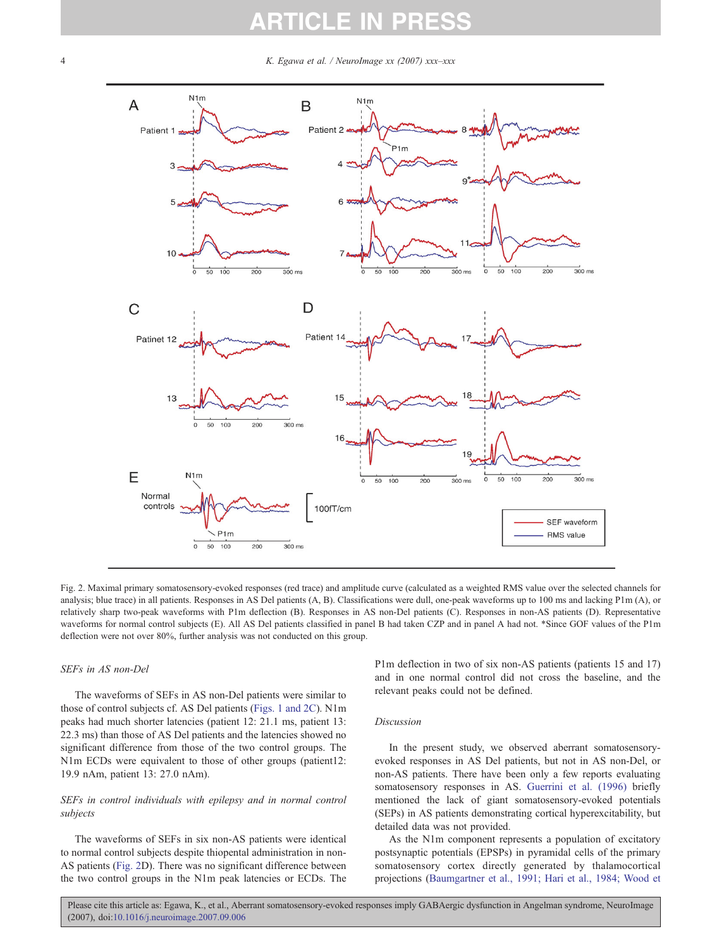# **ARTICLE IN PR**

<span id="page-3-0"></span>4 K. Egawa et al. / NeuroImage  $xx$  (2007)  $xxx$ - $xxx$ 



Fig. 2. Maximal primary somatosensory-evoked responses (red trace) and amplitude curve (calculated as a weighted RMS value over the selected channels for analysis; blue trace) in all patients. Responses in AS Del patients (A, B). Classifications were dull, one-peak waveforms up to 100 ms and lacking P1m (A), or relatively sharp two-peak waveforms with P1m deflection (B). Responses in AS non-Del patients (C). Responses in non-AS patients (D). Representative waveforms for normal control subjects (E). All AS Del patients classified in panel B had taken CZP and in panel A had not. ∗Since GOF values of the P1m deflection were not over 80%, further analysis was not conducted on this group.

#### SEFs in AS non-Del

The waveforms of SEFs in AS non-Del patients were similar to those of control subjects cf. AS Del patients [\(Figs. 1 and 2C\)](#page-2-0). N1m peaks had much shorter latencies (patient 12: 21.1 ms, patient 13: 22.3 ms) than those of AS Del patients and the latencies showed no significant difference from those of the two control groups. The N1m ECDs were equivalent to those of other groups (patient12: 19.9 nAm, patient 13: 27.0 nAm).

## SEFs in control individuals with epilepsy and in normal control subjects

The waveforms of SEFs in six non-AS patients were identical to normal control subjects despite thiopental administration in non-AS patients (Fig. 2D). There was no significant difference between the two control groups in the N1m peak latencies or ECDs. The

P1m deflection in two of six non-AS patients (patients 15 and 17) and in one normal control did not cross the baseline, and the relevant peaks could not be defined.

#### Discussion

In the present study, we observed aberrant somatosensoryevoked responses in AS Del patients, but not in AS non-Del, or non-AS patients. There have been only a few reports evaluating somatosensory responses in AS. [Guerrini et al. \(1996\)](#page-5-0) briefly mentioned the lack of giant somatosensory-evoked potentials (SEPs) in AS patients demonstrating cortical hyperexcitability, but detailed data was not provided.

As the N1m component represents a population of excitatory postsynaptic potentials (EPSPs) in pyramidal cells of the primary somatosensory cortex directly generated by thalamocortical projections [\(Baumgartner et al., 1991; Hari et al., 1984; Wood et](#page-5-0)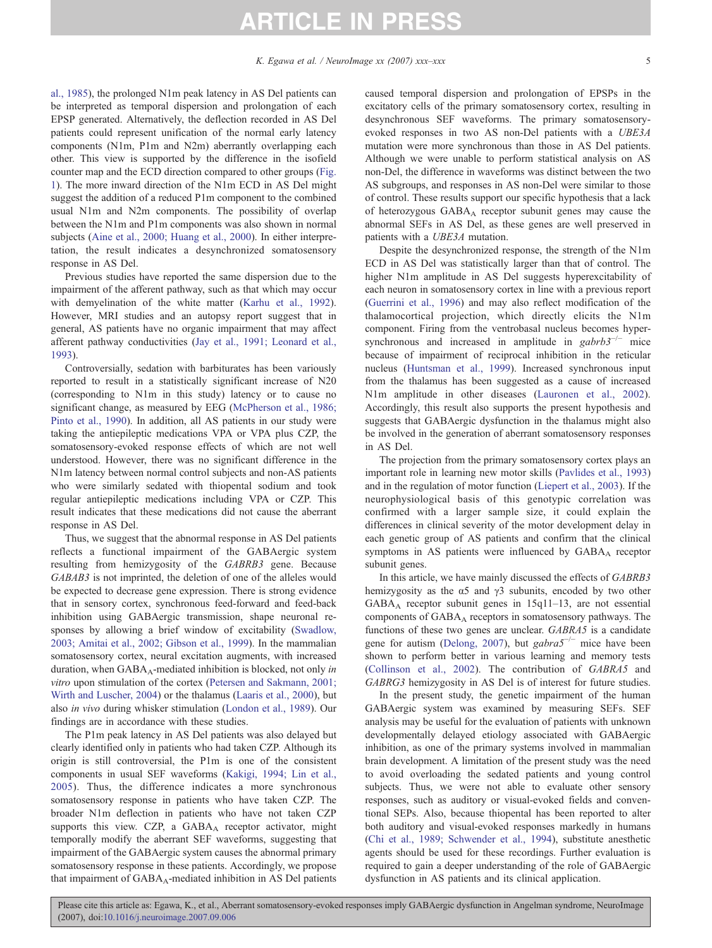# [al., 1985\)](#page-5-0), the prolonged N1m peak latency in AS Del patients can be interpreted as temporal dispersion and prolongation of each EPSP generated. Alternatively, the deflection recorded in AS Del patients could represent unification of the normal early latency components (N1m, P1m and N2m) aberrantly overlapping each other. This view is supported by the difference in the isofield counter map and the ECD direction compared to other groups [\(Fig.](#page-2-0) [1\)](#page-2-0). The more inward direction of the N1m ECD in AS Del might suggest the addition of a reduced P1m component to the combined usual N1m and N2m components. The possibility of overlap between the N1m and P1m components was also shown in normal subjects ([Aine et al., 2000; Huang et al., 2000](#page-5-0)). In either interpretation, the result indicates a desynchronized somatosensory response in AS Del.

Previous studies have reported the same dispersion due to the impairment of the afferent pathway, such as that which may occur with demyelination of the white matter ([Karhu et al., 1992](#page-5-0)). However, MRI studies and an autopsy report suggest that in general, AS patients have no organic impairment that may affect afferent pathway conductivities ([Jay et al., 1991; Leonard et al.,](#page-5-0) [1993](#page-5-0)).

Controversially, sedation with barbiturates has been variously reported to result in a statistically significant increase of N20 (corresponding to N1m in this study) latency or to cause no significant change, as measured by EEG ([McPherson et al., 1986;](#page-6-0) [Pinto et al., 1990\)](#page-6-0). In addition, all AS patients in our study were taking the antiepileptic medications VPA or VPA plus CZP, the somatosensory-evoked response effects of which are not well understood. However, there was no significant difference in the N1m latency between normal control subjects and non-AS patients who were similarly sedated with thiopental sodium and took regular antiepileptic medications including VPA or CZP. This result indicates that these medications did not cause the aberrant response in AS Del.

Thus, we suggest that the abnormal response in AS Del patients reflects a functional impairment of the GABAergic system resulting from hemizygosity of the GABRB3 gene. Because GABAB3 is not imprinted, the deletion of one of the alleles would be expected to decrease gene expression. There is strong evidence that in sensory cortex, synchronous feed-forward and feed-back inhibition using GABAergic transmission, shape neuronal responses by allowing a brief window of excitability ([Swadlow,](#page-6-0) [2003; Amitai et al., 2002; Gibson et al., 1999](#page-6-0)). In the mammalian somatosensory cortex, neural excitation augments, with increased duration, when  $GABA_A$ -mediated inhibition is blocked, not only in vitro upon stimulation of the cortex [\(Petersen and Sakmann, 2001;](#page-6-0) [Wirth and Luscher, 2004\)](#page-6-0) or the thalamus ([Laaris et al., 2000\)](#page-5-0), but also in vivo during whisker stimulation ([London et al., 1989\)](#page-6-0). Our findings are in accordance with these studies.

The P1m peak latency in AS Del patients was also delayed but clearly identified only in patients who had taken CZP. Although its origin is still controversial, the P1m is one of the consistent components in usual SEF waveforms [\(Kakigi, 1994; Lin et al.,](#page-5-0) [2005](#page-5-0)). Thus, the difference indicates a more synchronous somatosensory response in patients who have taken CZP. The broader N1m deflection in patients who have not taken CZP supports this view. CZP, a GABAA receptor activator, might temporally modify the aberrant SEF waveforms, suggesting that impairment of the GABAergic system causes the abnormal primary somatosensory response in these patients. Accordingly, we propose that impairment of  $GABA_A$ -mediated inhibition in AS Del patients caused temporal dispersion and prolongation of EPSPs in the excitatory cells of the primary somatosensory cortex, resulting in desynchronous SEF waveforms. The primary somatosensoryevoked responses in two AS non-Del patients with a UBE3A mutation were more synchronous than those in AS Del patients. Although we were unable to perform statistical analysis on AS non-Del, the difference in waveforms was distinct between the two AS subgroups, and responses in AS non-Del were similar to those of control. These results support our specific hypothesis that a lack of heterozygous GABAA receptor subunit genes may cause the abnormal SEFs in AS Del, as these genes are well preserved in patients with a UBE3A mutation.

Despite the desynchronized response, the strength of the N1m ECD in AS Del was statistically larger than that of control. The higher N1m amplitude in AS Del suggests hyperexcitability of each neuron in somatosensory cortex in line with a previous report [\(Guerrini et al., 1996](#page-5-0)) and may also reflect modification of the thalamocortical projection, which directly elicits the N1m component. Firing from the ventrobasal nucleus becomes hypersynchronous and increased in amplitude in  $gabrb3^{-/-}$  mice because of impairment of reciprocal inhibition in the reticular nucleus ([Huntsman et al., 1999](#page-5-0)). Increased synchronous input from the thalamus has been suggested as a cause of increased N1m amplitude in other diseases ([Lauronen et al., 2002](#page-5-0)). Accordingly, this result also supports the present hypothesis and suggests that GABAergic dysfunction in the thalamus might also be involved in the generation of aberrant somatosensory responses in AS Del.

The projection from the primary somatosensory cortex plays an important role in learning new motor skills ([Pavlides et al., 1993\)](#page-6-0) and in the regulation of motor function [\(Liepert et al., 2003\)](#page-6-0). If the neurophysiological basis of this genotypic correlation was confirmed with a larger sample size, it could explain the differences in clinical severity of the motor development delay in each genetic group of AS patients and confirm that the clinical symptoms in AS patients were influenced by GABA<sub>A</sub> receptor subunit genes.

In this article, we have mainly discussed the effects of GABRB3 hemizygosity as the  $\alpha$ 5 and  $\gamma$ 3 subunits, encoded by two other GABAA receptor subunit genes in 15q11–13, are not essential components of GABA<sub>A</sub> receptors in somatosensory pathways. The functions of these two genes are unclear. GABRA5 is a candidate gene for autism [\(Delong, 2007\)](#page-5-0), but gabra $5^{-/-}$  mice have been shown to perform better in various learning and memory tests [\(Collinson et al., 2002](#page-5-0)). The contribution of GABRA5 and GABRG3 hemizygosity in AS Del is of interest for future studies.

In the present study, the genetic impairment of the human GABAergic system was examined by measuring SEFs. SEF analysis may be useful for the evaluation of patients with unknown developmentally delayed etiology associated with GABAergic inhibition, as one of the primary systems involved in mammalian brain development. A limitation of the present study was the need to avoid overloading the sedated patients and young control subjects. Thus, we were not able to evaluate other sensory responses, such as auditory or visual-evoked fields and conventional SEPs. Also, because thiopental has been reported to alter both auditory and visual-evoked responses markedly in humans [\(Chi et al., 1989; Schwender et al., 1994\)](#page-5-0), substitute anesthetic agents should be used for these recordings. Further evaluation is required to gain a deeper understanding of the role of GABAergic dysfunction in AS patients and its clinical application.

Please cite this article as: Egawa, K., et al., Aberrant somatosensory-evoked responses imply GABAergic dysfunction in Angelman syndrome, NeuroImage (2007), doi[:10.1016/j.neuroimage.2007.09.006](http://dx.doi.org/10.1016/j.neuroimage.2007.09.006)

# ARTICLE IN PRESS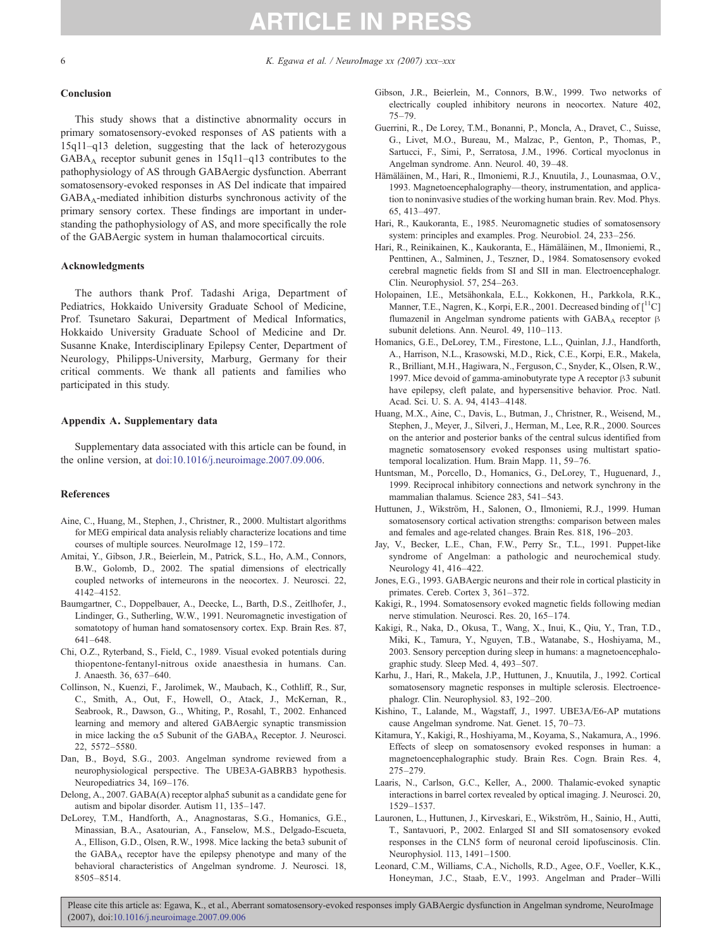<span id="page-5-0"></span>6 K. Egawa et al. / NeuroImage xx (2007) xxx–xxx

#### **Conclusion**

This study shows that a distinctive abnormality occurs in primary somatosensory-evoked responses of AS patients with a 15q11–q13 deletion, suggesting that the lack of heterozygous  $GABA_A$  receptor subunit genes in  $15q11-q13$  contributes to the pathophysiology of AS through GABAergic dysfunction. Aberrant somatosensory-evoked responses in AS Del indicate that impaired  $GABA_A$ -mediated inhibition disturbs synchronous activity of the primary sensory cortex. These findings are important in understanding the pathophysiology of AS, and more specifically the role of the GABAergic system in human thalamocortical circuits.

#### Acknowledgments

The authors thank Prof. Tadashi Ariga, Department of Pediatrics, Hokkaido University Graduate School of Medicine, Prof. Tsunetaro Sakurai, Department of Medical Informatics, Hokkaido University Graduate School of Medicine and Dr. Susanne Knake, Interdisciplinary Epilepsy Center, Department of Neurology, Philipps-University, Marburg, Germany for their critical comments. We thank all patients and families who participated in this study.

### Appendix A. Supplementary data

Supplementary data associated with this article can be found, in the online version, at [doi:10.1016/j.neuroimage.2007.09.006.](http://dx.doi.org/doi:10.1016/j.neuroimage.2007.09.006)

#### References

- Aine, C., Huang, M., Stephen, J., Christner, R., 2000. Multistart algorithms for MEG empirical data analysis reliably characterize locations and time courses of multiple sources. NeuroImage 12, 159–172.
- Amitai, Y., Gibson, J.R., Beierlein, M., Patrick, S.L., Ho, A.M., Connors, B.W., Golomb, D., 2002. The spatial dimensions of electrically coupled networks of interneurons in the neocortex. J. Neurosci. 22, 4142–4152.
- Baumgartner, C., Doppelbauer, A., Deecke, L., Barth, D.S., Zeitlhofer, J., Lindinger, G., Sutherling, W.W., 1991. Neuromagnetic investigation of somatotopy of human hand somatosensory cortex. Exp. Brain Res. 87, 641–648.
- Chi, O.Z., Ryterband, S., Field, C., 1989. Visual evoked potentials during thiopentone-fentanyl-nitrous oxide anaesthesia in humans. Can. J. Anaesth. 36, 637–640.
- Collinson, N., Kuenzi, F., Jarolimek, W., Maubach, K., Cothliff, R., Sur, C., Smith, A., Out, F., Howell, O., Atack, J., McKernan, R., Seabrook, R., Dawson, G.., Whiting, P., Rosahl, T., 2002. Enhanced learning and memory and altered GABAergic synaptic transmission in mice lacking the  $\alpha$ 5 Subunit of the GABA<sub>A</sub> Receptor. J. Neurosci. 22, 5572–5580.
- Dan, B., Boyd, S.G., 2003. Angelman syndrome reviewed from a neurophysiological perspective. The UBE3A-GABRB3 hypothesis. Neuropediatrics 34, 169–176.
- Delong, A., 2007. GABA(A) receptor alpha5 subunit as a candidate gene for autism and bipolar disorder. Autism 11, 135–147.
- DeLorey, T.M., Handforth, A., Anagnostaras, S.G., Homanics, G.E., Minassian, B.A., Asatourian, A., Fanselow, M.S., Delgado-Escueta, A., Ellison, G.D., Olsen, R.W., 1998. Mice lacking the beta3 subunit of the GABA<sub>A</sub> receptor have the epilepsy phenotype and many of the behavioral characteristics of Angelman syndrome. J. Neurosci. 18, 8505–8514.
- Gibson, J.R., Beierlein, M., Connors, B.W., 1999. Two networks of electrically coupled inhibitory neurons in neocortex. Nature 402, 75–79.
- Guerrini, R., De Lorey, T.M., Bonanni, P., Moncla, A., Dravet, C., Suisse, G., Livet, M.O., Bureau, M., Malzac, P., Genton, P., Thomas, P., Sartucci, F., Simi, P., Serratosa, J.M., 1996. Cortical myoclonus in Angelman syndrome. Ann. Neurol. 40, 39–48.
- Hämäläinen, M., Hari, R., Ilmoniemi, R.J., Knuutila, J., Lounasmaa, O.V., 1993. Magnetoencephalography—theory, instrumentation, and application to noninvasive studies of the working human brain. Rev. Mod. Phys. 65, 413–497.
- Hari, R., Kaukoranta, E., 1985. Neuromagnetic studies of somatosensory system: principles and examples. Prog. Neurobiol. 24, 233–256.
- Hari, R., Reinikainen, K., Kaukoranta, E., Hämäläinen, M., Ilmoniemi, R., Penttinen, A., Salminen, J., Teszner, D., 1984. Somatosensory evoked cerebral magnetic fields from SI and SII in man. Electroencephalogr. Clin. Neurophysiol. 57, 254–263.
- Holopainen, I.E., Metsähonkala, E.L., Kokkonen, H., Parkkola, R.K., Manner, T.E., Nagren, K., Korpi, E.R., 2001. Decreased binding of  $\lceil {}^{11}C \rceil$ flumazenil in Angelman syndrome patients with  $GABA_A$  receptor  $\beta$ subunit deletions. Ann. Neurol. 49, 110–113.
- Homanics, G.E., DeLorey, T.M., Firestone, L.L., Quinlan, J.J., Handforth, A., Harrison, N.L., Krasowski, M.D., Rick, C.E., Korpi, E.R., Makela, R., Brilliant, M.H., Hagiwara, N., Ferguson, C., Snyder, K., Olsen, R.W., 1997. Mice devoid of gamma-aminobutyrate type A receptor β3 subunit have epilepsy, cleft palate, and hypersensitive behavior. Proc. Natl. Acad. Sci. U. S. A. 94, 4143–4148.
- Huang, M.X., Aine, C., Davis, L., Butman, J., Christner, R., Weisend, M., Stephen, J., Meyer, J., Silveri, J., Herman, M., Lee, R.R., 2000. Sources on the anterior and posterior banks of the central sulcus identified from magnetic somatosensory evoked responses using multistart spatiotemporal localization. Hum. Brain Mapp. 11, 59–76.
- Huntsman, M., Porcello, D., Homanics, G., DeLorey, T., Huguenard, J., 1999. Reciprocal inhibitory connections and network synchrony in the mammalian thalamus. Science 283, 541–543.
- Huttunen, J., Wikström, H., Salonen, O., Ilmoniemi, R.J., 1999. Human somatosensory cortical activation strengths: comparison between males and females and age-related changes. Brain Res. 818, 196–203.
- Jay, V., Becker, L.E., Chan, F.W., Perry Sr., T.L., 1991. Puppet-like syndrome of Angelman: a pathologic and neurochemical study. Neurology 41, 416–422.
- Jones, E.G., 1993. GABAergic neurons and their role in cortical plasticity in primates. Cereb. Cortex 3, 361–372.
- Kakigi, R., 1994. Somatosensory evoked magnetic fields following median nerve stimulation. Neurosci. Res. 20, 165–174.
- Kakigi, R., Naka, D., Okusa, T., Wang, X., Inui, K., Qiu, Y., Tran, T.D., Miki, K., Tamura, Y., Nguyen, T.B., Watanabe, S., Hoshiyama, M., 2003. Sensory perception during sleep in humans: a magnetoencephalographic study. Sleep Med. 4, 493–507.
- Karhu, J., Hari, R., Makela, J.P., Huttunen, J., Knuutila, J., 1992. Cortical somatosensory magnetic responses in multiple sclerosis. Electroencephalogr. Clin. Neurophysiol. 83, 192–200.
- Kishino, T., Lalande, M., Wagstaff, J., 1997. UBE3A/E6-AP mutations cause Angelman syndrome. Nat. Genet. 15, 70–73.
- Kitamura, Y., Kakigi, R., Hoshiyama, M., Koyama, S., Nakamura, A., 1996. Effects of sleep on somatosensory evoked responses in human: a magnetoencephalographic study. Brain Res. Cogn. Brain Res. 4, 275–279.
- Laaris, N., Carlson, G.C., Keller, A., 2000. Thalamic-evoked synaptic interactions in barrel cortex revealed by optical imaging. J. Neurosci. 20, 1529–1537.
- Lauronen, L., Huttunen, J., Kirveskari, E., Wikström, H., Sainio, H., Autti, T., Santavuori, P., 2002. Enlarged SI and SII somatosensory evoked responses in the CLN5 form of neuronal ceroid lipofuscinosis. Clin. Neurophysiol. 113, 1491–1500.
- Leonard, C.M., Williams, C.A., Nicholls, R.D., Agee, O.F., Voeller, K.K., Honeyman, J.C., Staab, E.V., 1993. Angelman and Prader–Willi